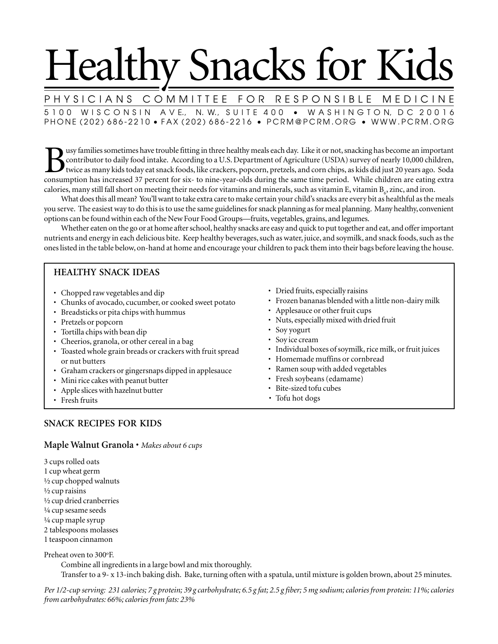# Healthy Snacks for Kids

PHYSICIANS COMMITTEE FOR RESPONSIBLE MEDICINE 5 1 0 0 W I S C O N S I N A V E., N. W., S U I T E 4 0 0 · W A S H I N G T O N, D C 2 0 0 1 6 PHONE (202) 686-2210 • FAX (202) 686-2216 • PCRM@PCRM.ORG • WWW.PCRM.ORG

Busy families sometimes have trouble fitting in three healthy meals each day. Like it or not, snacking has become an important contributor to daily food intake. According to a U.S. Department of Agriculture (USDA) survey o contributor to daily food intake. According to a U.S. Department of Agriculture (USDA) survey of nearly 10,000 children, twice as many kids today eat snack foods, like crackers, popcorn, pretzels, and corn chips, as kids did just 20 years ago. Soda consumption has increased 37 percent for six- to nine-year-olds during the same time period. While children are eating extra calories, many still fall short on meeting their needs for vitamins and minerals, such as vitamin  $\rm E$ , vitamin  $\rm B_{\rm c}$ , zinc, and iron.

What does this all mean? You'll want to take extra care to make certain your child's snacks are every bit as healthful as the meals you serve. The easiest way to do this is to use the same guidelines for snack planning as for meal planning. Many healthy, convenient options can be found within each of the New Four Food Groups—fruits, vegetables, grains, and legumes.

Whether eaten on the go or at home after school, healthy snacks are easy and quick to put together and eat, and offer important nutrients and energy in each delicious bite. Keep healthy beverages, such as water, juice, and soymilk, and snack foods, such as the ones listed in the table below, on-hand at home and encourage your children to pack them into their bags before leaving the house.

# **HEALTHY SNACK IDEAS**

- Chopped raw vegetables and dip
- Chunks of avocado, cucumber, or cooked sweet potato
- Breadsticks or pita chips with hummus
- Pretzels or popcorn
- Tortilla chips with bean dip
- Cheerios, granola, or other cereal in a bag
- Toasted whole grain breads or crackers with fruit spread or nut butters
- Graham crackers or gingersnaps dipped in applesauce
- Mini rice cakes with peanut butter
- Apple slices with hazelnut butter
- Fresh fruits
- Dried fruits, especially raisins
- Frozen bananas blended with a little non-dairy milk
- Applesauce or other fruit cups
- Nuts, especially mixed with dried fruit
- Soy yogurt
- Soy ice cream
- Individual boxes of soymilk, rice milk, or fruit juices
- Homemade muffins or cornbread
- Ramen soup with added vegetables
- Fresh soybeans (edamame)
- Bite-sized tofu cubes
- *•* Tofu hot dogs

# **SNACK RECIPES FOR KIDS**

## **Maple Walnut Granola** • *Makes about 6 cups*

3 cups rolled oats 1 cup wheat germ ½ cup chopped walnuts ½ cup raisins ½ cup dried cranberries ¼ cup sesame seeds ¼ cup maple syrup 2 tablespoons molasses 1 teaspoon cinnamon

Preheat oven to 300°F.

Combine all ingredients in a large bowl and mix thoroughly. Transfer to a 9- x 13-inch baking dish. Bake, turning often with a spatula, until mixture is golden brown, about 25 minutes.

*Per 1/2-cup serving: 231 calories; 7 g protein; 39 g carbohydrate; 6.5 g fat; 2.5 g fiber; 5 mg sodium; calories from protein: 11%; calories from carbohydrates: 66%; calories from fats: 23%*